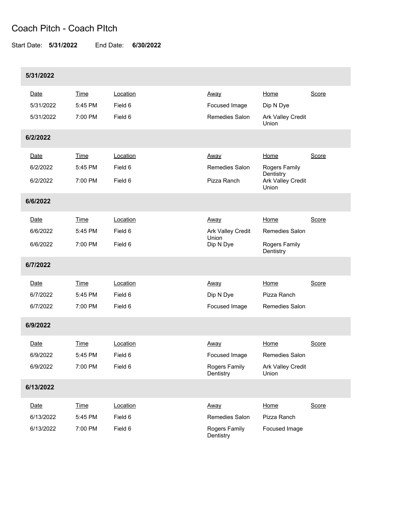## Coach Pitch - Coach PItch

Start Date: **5/31/2022** End Date: **6/30/2022**

| 5/31/2022 |             |          |                            |                                                       |       |
|-----------|-------------|----------|----------------------------|-------------------------------------------------------|-------|
| Date      | Time        | Location | Away                       | Home                                                  | Score |
| 5/31/2022 | 5:45 PM     | Field 6  | Focused Image              | Dip N Dye                                             |       |
| 5/31/2022 | 7:00 PM     | Field 6  | Remedies Salon             | Ark Valley Credit<br>Union                            |       |
| 6/2/2022  |             |          |                            |                                                       |       |
| Date      | <b>Time</b> | Location | Away                       | Home                                                  | Score |
| 6/2/2022  | 5:45 PM     | Field 6  | Remedies Salon             | <b>Rogers Family</b>                                  |       |
| 6/2/2022  | 7:00 PM     | Field 6  | Pizza Ranch                | Dentistry<br><b>Ark Valley Credit</b><br><b>Union</b> |       |
| 6/6/2022  |             |          |                            |                                                       |       |
| Date      | <b>Time</b> | Location | <u>Away</u>                | Home                                                  | Score |
| 6/6/2022  | 5:45 PM     | Field 6  | Ark Valley Credit          | <b>Remedies Salon</b>                                 |       |
| 6/6/2022  | 7:00 PM     | Field 6  | Union<br>Dip N Dye         | Rogers Family<br>Dentistry                            |       |
| 6/7/2022  |             |          |                            |                                                       |       |
| Date      | <b>Time</b> | Location | Away                       | Home                                                  | Score |
| 6/7/2022  | 5:45 PM     | Field 6  | Dip N Dye                  | Pizza Ranch                                           |       |
| 6/7/2022  | 7:00 PM     | Field 6  | Focused Image              | <b>Remedies Salon</b>                                 |       |
| 6/9/2022  |             |          |                            |                                                       |       |
| Date      | Time        | Location | <u>Away</u>                | Home                                                  | Score |
| 6/9/2022  | 5:45 PM     | Field 6  | Focused Image              | Remedies Salon                                        |       |
| 6/9/2022  | 7:00 PM     | Field 6  | Rogers Family<br>Dentistry | Ark Valley Credit<br>Union                            |       |
| 6/13/2022 |             |          |                            |                                                       |       |
| Date      | <b>Time</b> | Location | Away                       | Home                                                  | Score |
| 6/13/2022 | 5:45 PM     | Field 6  | Remedies Salon             | Pizza Ranch                                           |       |
| 6/13/2022 | 7:00 PM     | Field 6  | Rogers Family<br>Dentistry | Focused Image                                         |       |